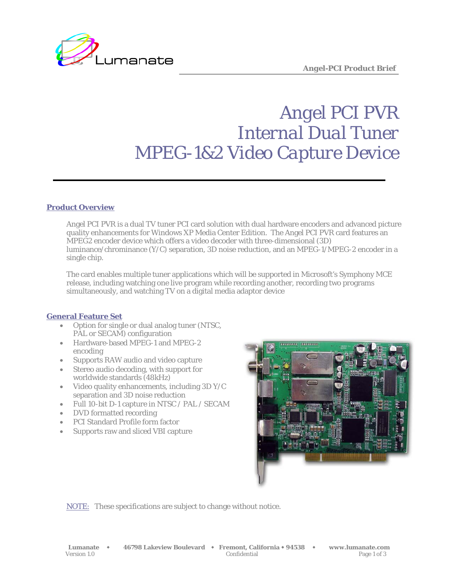

# *Angel PCI PVR Internal Dual Tuner MPEG-1&2 Video Capture Device*

## **Product Overview**

Angel PCI PVR is a dual TV tuner PCI card solution with dual hardware encoders and advanced picture quality enhancements for Windows XP Media Center Edition. The Angel PCI PVR card features an MPEG2 encoder device which offers a video decoder with three-dimensional (3D) luminance/chrominance (Y/C) separation, 3D noise reduction, and an MPEG-1/MPEG-2 encoder in a single chip.

The card enables multiple tuner applications which will be supported in Microsoft's Symphony MCE release, including watching one live program while recording another, recording two programs simultaneously, and watching TV on a digital media adaptor device

### **General Feature Set**

- Option for single or dual analog tuner (NTSC, PAL or SECAM) configuration
- Hardware-based MPEG-1 and MPEG-2 encoding
- Supports RAW audio and video capture
- Stereo audio decoding, with support for worldwide standards (48kHz)
- Video quality enhancements, including 3D Y/C separation and 3D noise reduction
- Full 10-bit D-1 capture in NTSC / PAL / SECAM
- DVD formatted recording
- PCI Standard Profile form factor
- Supports raw and sliced VBI capture



NOTE: These specifications are subject to change without notice.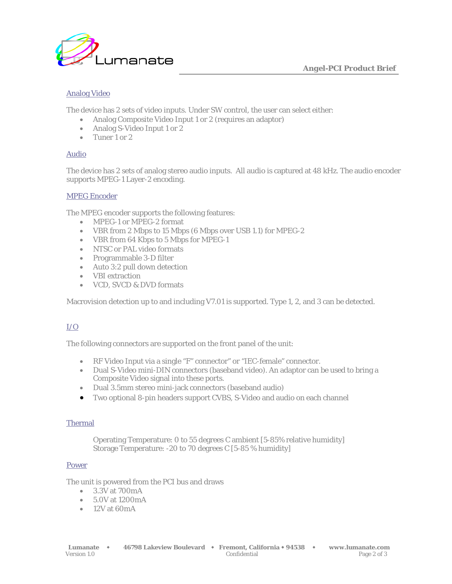

# Analog Video

The device has 2 sets of video inputs. Under SW control, the user can select either:

- Analog Composite Video Input 1 or 2 (requires an adaptor)
- Analog S-Video Input 1 or 2
- Tuner 1 or 2

## Audio

The device has 2 sets of analog stereo audio inputs. All audio is captured at 48 kHz. The audio encoder supports MPEG-1 Layer-2 encoding.

### MPEG Encoder

The MPEG encoder supports the following features:

- MPEG-1 or MPEG-2 format
- VBR from 2 Mbps to 15 Mbps (6 Mbps over USB 1.1) for MPEG-2
- VBR from 64 Kbps to 5 Mbps for MPEG-1
- NTSC or PAL video formats
- Programmable 3-D filter
- Auto 3:2 pull down detection
- VBI extraction
- VCD, SVCD & DVD formats

Macrovision detection up to and including V7.01 is supported. Type 1, 2, and 3 can be detected.

# $I/O$

The following connectors are supported on the front panel of the unit:

- RF Video Input via a single "F" connector" or "IEC-female" connector.
- Dual S-Video mini-DIN connectors (baseband video). An adaptor can be used to bring a Composite Video signal into these ports.
- Dual 3.5mm stereo mini-jack connectors (baseband audio)
- Two optional 8-pin headers support CVBS, S-Video and audio on each channel

### Thermal

Operating Temperature: 0 to 55 degrees C ambient [5-85% relative humidity] Storage Temperature: -20 to 70 degrees C [5-85 % humidity]

### Power

The unit is powered from the PCI bus and draws

- 3.3V at 700mA
- 5.0V at 1200mA
- $\bullet$  12V at 60mA